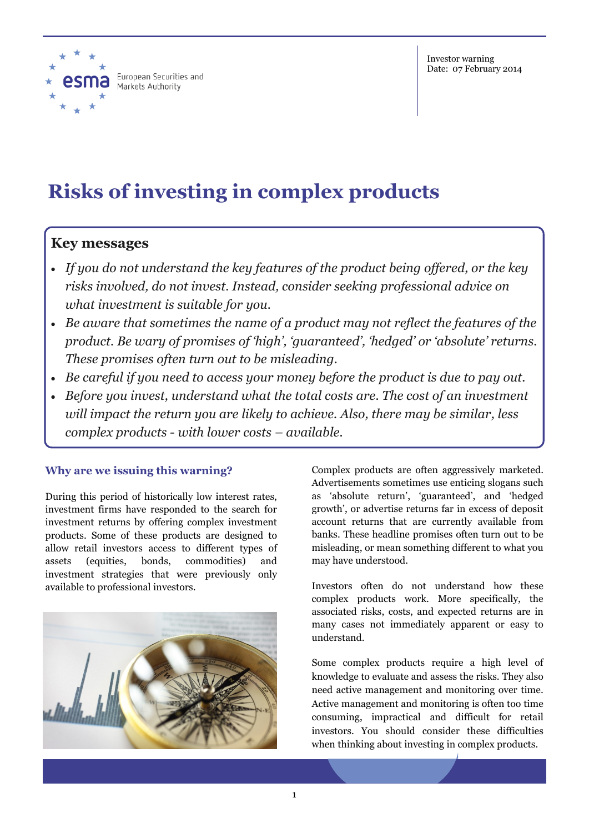

# **Risks of investing in complex products**

## **Key messages**

- *If you do not understand the key features of the product being offered, or the key risks involved, do not invest. Instead, consider seeking professional advice on what investment is suitable for you.*
- *Be aware that sometimes the name of a product may not reflect the features of the product. Be wary of promises of 'high', 'guaranteed', 'hedged' or 'absolute' returns. These promises often turn out to be misleading.*
- *Be careful if you need to access your money before the product is due to pay out.*
- *Before you invest, understand what the total costs are. The cost of an investment will impact the return you are likely to achieve. Also, there may be similar, less complex products - with lower costs – available.*

## **Why are we issuing this warning?**

During this period of historically low interest rates, investment firms have responded to the search for investment returns by offering complex investment products. Some of these products are designed to allow retail investors access to different types of assets (equities, bonds, commodities) and investment strategies that were previously only available to professional investors.



Complex products are often aggressively marketed. Advertisements sometimes use enticing slogans such as 'absolute return', 'guaranteed', and 'hedged growth', or advertise returns far in excess of deposit account returns that are currently available from banks. These headline promises often turn out to be misleading, or mean something different to what you may have understood.

Investors often do not understand how these complex products work. More specifically, the associated risks, costs, and expected returns are in many cases not immediately apparent or easy to understand.

Some complex products require a high level of knowledge to evaluate and assess the risks. They also need active management and monitoring over time. Active management and monitoring is often too time consuming, impractical and difficult for retail investors. You should consider these difficulties when thinking about investing in complex products.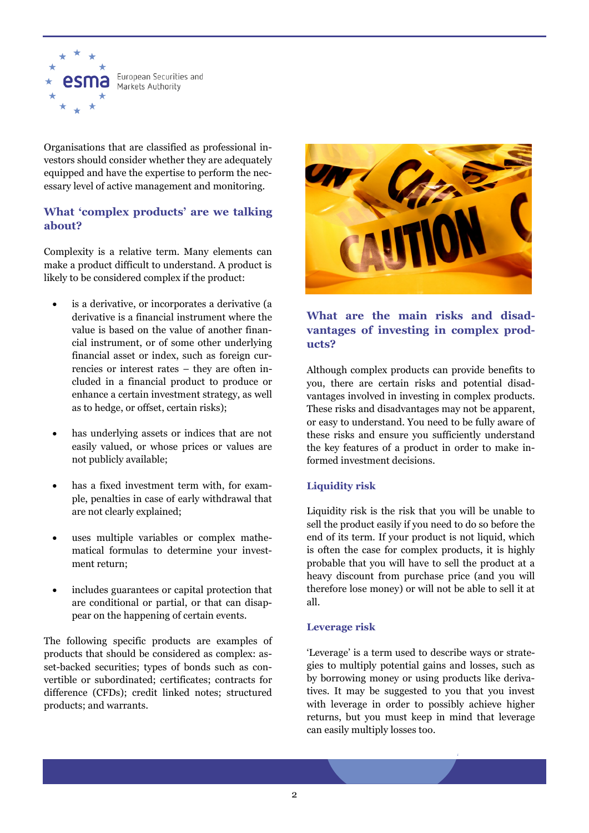

Organisations that are classified as professional investors should consider whether they are adequately equipped and have the expertise to perform the necessary level of active management and monitoring.

## **What 'complex products' are we talking about?**

Complexity is a relative term. Many elements can make a product difficult to understand. A product is likely to be considered complex if the product:

- is a derivative, or incorporates a derivative (a derivative is a financial instrument where the value is based on the value of another financial instrument, or of some other underlying financial asset or index, such as foreign currencies or interest rates – they are often included in a financial product to produce or enhance a certain investment strategy, as well as to hedge, or offset, certain risks);
- has underlying assets or indices that are not easily valued, or whose prices or values are not publicly available;
- has a fixed investment term with, for example, penalties in case of early withdrawal that are not clearly explained;
- uses multiple variables or complex mathematical formulas to determine your investment return;
- includes guarantees or capital protection that are conditional or partial, or that can disappear on the happening of certain events.

The following specific products are examples of products that should be considered as complex: asset-backed securities; types of bonds such as convertible or subordinated; certificates; contracts for difference (CFDs); credit linked notes; structured products; and warrants.



### **What are the main risks and disadvantages of investing in complex products?**

Although complex products can provide benefits to you, there are certain risks and potential disadvantages involved in investing in complex products. These risks and disadvantages may not be apparent, or easy to understand. You need to be fully aware of these risks and ensure you sufficiently understand the key features of a product in order to make informed investment decisions.

#### **Liquidity risk**

Liquidity risk is the risk that you will be unable to sell the product easily if you need to do so before the end of its term. If your product is not liquid, which is often the case for complex products, it is highly probable that you will have to sell the product at a heavy discount from purchase price (and you will therefore lose money) or will not be able to sell it at all.

#### **Leverage risk**

'Leverage' is a term used to describe ways or strategies to multiply potential gains and losses, such as by borrowing money or using products like derivatives. It may be suggested to you that you invest with leverage in order to possibly achieve higher returns, but you must keep in mind that leverage can easily multiply losses too.